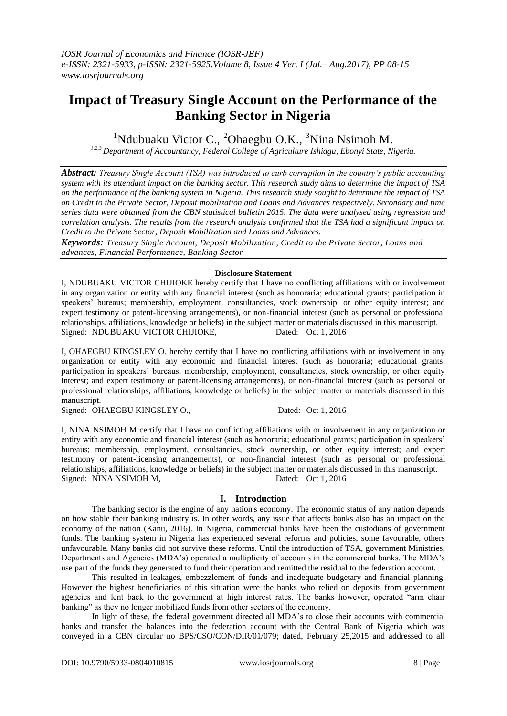# **Impact of Treasury Single Account on the Performance of the Banking Sector in Nigeria**

<sup>1</sup>Ndubuaku Victor C., <sup>2</sup>Ohaegbu O.K., <sup>3</sup>Nina Nsimoh M.

*1,2,3 Department of Accountancy, Federal College of Agriculture Ishiagu, Ebonyi State, Nigeria.*

*Abstract: Treasury Single Account (TSA) was introduced to curb corruption in the country's public accounting system with its attendant impact on the banking sector. This research study aims to determine the impact of TSA on the performance of the banking system in Nigeria. This research study sought to determine the impact of TSA on Credit to the Private Sector, Deposit mobilization and Loans and Advances respectively. Secondary and time series data were obtained from the CBN statistical bulletin 2015. The data were analysed using regression and correlation analysis. The results from the research analysis confirmed that the TSA had a significant impact on Credit to the Private Sector, Deposit Mobilization and Loans and Advances.* 

*Keywords: Treasury Single Account, Deposit Mobilization, Credit to the Private Sector, Loans and advances, Financial Performance, Banking Sector*

#### **Disclosure Statement**

I, NDUBUAKU VICTOR CHIJIOKE hereby certify that I have no conflicting affiliations with or involvement in any organization or entity with any financial interest (such as honoraria; educational grants; participation in speakers' bureaus; membership, employment, consultancies, stock ownership, or other equity interest; and expert testimony or patent-licensing arrangements), or non-financial interest (such as personal or professional relationships, affiliations, knowledge or beliefs) in the subject matter or materials discussed in this manuscript. Signed: NDUBUAKU VICTOR CHIJIOKE, Dated: Oct 1, 2016

I, OHAEGBU KINGSLEY O. hereby certify that I have no conflicting affiliations with or involvement in any organization or entity with any economic and financial interest (such as honoraria; educational grants; participation in speakers' bureaus; membership, employment, consultancies, stock ownership, or other equity interest; and expert testimony or patent-licensing arrangements), or non-financial interest (such as personal or professional relationships, affiliations, knowledge or beliefs) in the subject matter or materials discussed in this manuscript.

Signed: OHAEGBU KINGSLEY O., Dated: Oct 1, 2016

I, NINA NSIMOH M certify that I have no conflicting affiliations with or involvement in any organization or entity with any economic and financial interest (such as honoraria; educational grants; participation in speakers' bureaus; membership, employment, consultancies, stock ownership, or other equity interest; and expert testimony or patent-licensing arrangements), or non-financial interest (such as personal or professional relationships, affiliations, knowledge or beliefs) in the subject matter or materials discussed in this manuscript. Signed: NINA NSIMOH M, Dated: Oct 1, 2016

# **I. Introduction**

The banking sector is the engine of any nation's economy. The economic status of any nation depends on how stable their banking industry is. In other words, any issue that affects banks also has an impact on the economy of the nation (Kanu, 2016). In Nigeria, commercial banks have been the custodians of government funds. The banking system in Nigeria has experienced several reforms and policies, some favourable, others unfavourable. Many banks did not survive these reforms. Until the introduction of TSA, government Ministries, Departments and Agencies (MDA's) operated a multiplicity of accounts in the commercial banks. The MDA's use part of the funds they generated to fund their operation and remitted the residual to the federation account.

This resulted in leakages, embezzlement of funds and inadequate budgetary and financial planning. However the highest beneficiaries of this situation were the banks who relied on deposits from government agencies and lent back to the government at high interest rates. The banks however, operated "arm chair banking" as they no longer mobilized funds from other sectors of the economy.

In light of these, the federal government directed all MDA's to close their accounts with commercial banks and transfer the balances into the federation account with the Central Bank of Nigeria which was conveyed in a CBN circular no BPS/CSO/CON/DIR/01/079; dated, February 25,2015 and addressed to all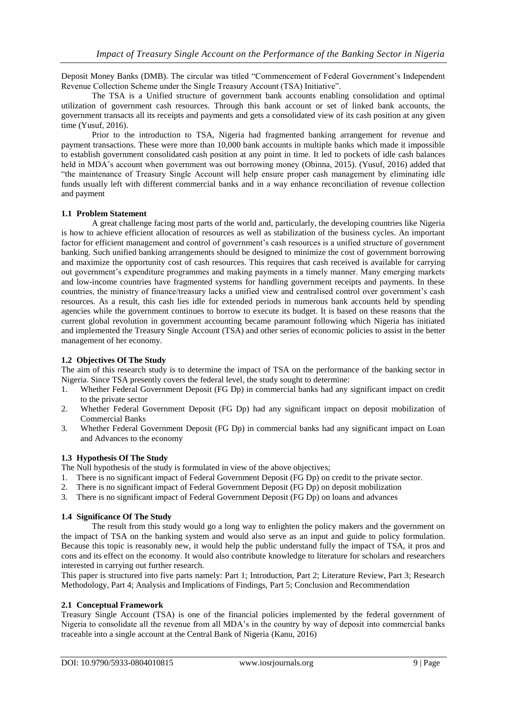Deposit Money Banks (DMB). The circular was titled "Commencement of Federal Government's Independent Revenue Collection Scheme under the Single Treasury Account (TSA) Initiative".

The TSA is a Unified structure of government bank accounts enabling consolidation and optimal utilization of government cash resources. Through this bank account or set of linked bank accounts, the government transacts all its receipts and payments and gets a consolidated view of its cash position at any given time (Yusuf, 2016).

Prior to the introduction to TSA, Nigeria had fragmented banking arrangement for revenue and payment transactions. These were more than 10,000 bank accounts in multiple banks which made it impossible to establish government consolidated cash position at any point in time. It led to pockets of idle cash balances held in MDA's account when government was out borrowing money (Obinna, 2015). (Yusuf, 2016) added that "the maintenance of Treasury Single Account will help ensure proper cash management by eliminating idle funds usually left with different commercial banks and in a way enhance reconciliation of revenue collection and payment

#### **1.1 Problem Statement**

A great challenge facing most parts of the world and, particularly, the developing countries like Nigeria is how to achieve efficient allocation of resources as well as stabilization of the business cycles. An important factor for efficient management and control of government's cash resources is a unified structure of government banking. Such unified banking arrangements should be designed to minimize the cost of government borrowing and maximize the opportunity cost of cash resources. This requires that cash received is available for carrying out government's expenditure programmes and making payments in a timely manner. Many emerging markets and low-income countries have fragmented systems for handling government receipts and payments. In these countries, the ministry of finance/treasury lacks a unified view and centralised control over government's cash resources. As a result, this cash lies idle for extended periods in numerous bank accounts held by spending agencies while the government continues to borrow to execute its budget. It is based on these reasons that the current global revolution in government accounting became paramount following which Nigeria has initiated and implemented the Treasury Single Account (TSA) and other series of economic policies to assist in the better management of her economy.

#### **1.2 Objectives Of The Study**

The aim of this research study is to determine the impact of TSA on the performance of the banking sector in Nigeria. Since TSA presently covers the federal level, the study sought to determine:

- 1. Whether Federal Government Deposit (FG Dp) in commercial banks had any significant impact on credit to the private sector
- 2. Whether Federal Government Deposit (FG Dp) had any significant impact on deposit mobilization of Commercial Banks
- 3. Whether Federal Government Deposit (FG Dp) in commercial banks had any significant impact on Loan and Advances to the economy

# **1.3 Hypothesis Of The Study**

The Null hypothesis of the study is formulated in view of the above objectives;

- 1. There is no significant impact of Federal Government Deposit (FG Dp) on credit to the private sector.
- 2. There is no significant impact of Federal Government Deposit (FG Dp) on deposit mobilization
- 3. There is no significant impact of Federal Government Deposit (FG Dp) on loans and advances

#### **1.4 Significance Of The Study**

The result from this study would go a long way to enlighten the policy makers and the government on the impact of TSA on the banking system and would also serve as an input and guide to policy formulation. Because this topic is reasonably new, it would help the public understand fully the impact of TSA, it pros and cons and its effect on the economy. It would also contribute knowledge to literature for scholars and researchers interested in carrying out further research.

This paper is structured into five parts namely: Part 1; Introduction, Part 2; Literature Review, Part 3; Research Methodology, Part 4; Analysis and Implications of Findings, Part 5; Conclusion and Recommendation

# **2.1 Conceptual Framework**

Treasury Single Account (TSA) is one of the financial policies implemented by the federal government of Nigeria to consolidate all the revenue from all MDA's in the country by way of deposit into commercial banks traceable into a single account at the Central Bank of Nigeria (Kanu, 2016)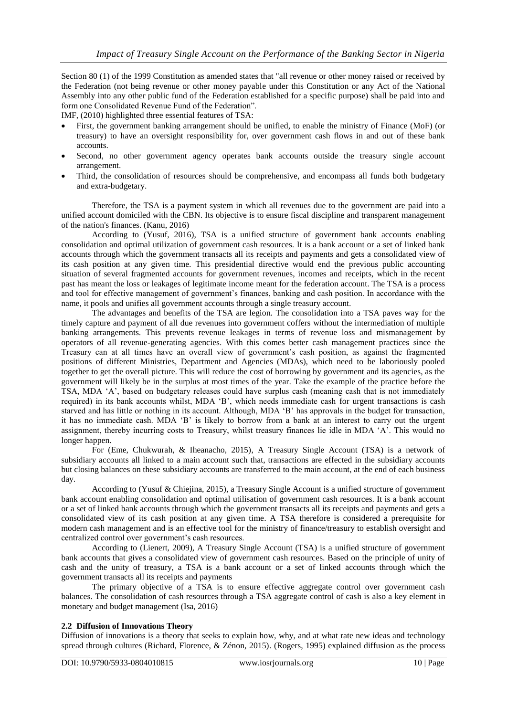Section 80 (1) of the 1999 Constitution as amended states that "all revenue or other money raised or received by the Federation (not being revenue or other money payable under this Constitution or any Act of the National Assembly into any other public fund of the Federation established for a specific purpose) shall be paid into and form one Consolidated Revenue Fund of the Federation".

IMF, (2010) highlighted three essential features of TSA:

- First, the government banking arrangement should be unified, to enable the ministry of Finance (MoF) (or treasury) to have an oversight responsibility for, over government cash flows in and out of these bank accounts.
- Second, no other government agency operates bank accounts outside the treasury single account arrangement.
- Third, the consolidation of resources should be comprehensive, and encompass all funds both budgetary and extra-budgetary.

Therefore, the TSA is a payment system in which all revenues due to the government are paid into a unified account domiciled with the CBN. Its objective is to ensure fiscal discipline and transparent management of the nation's finances. (Kanu, 2016)

According to (Yusuf, 2016), TSA is a unified structure of government bank accounts enabling consolidation and optimal utilization of government cash resources. It is a bank account or a set of linked bank accounts through which the government transacts all its receipts and payments and gets a consolidated view of its cash position at any given time. This presidential directive would end the previous public accounting situation of several fragmented accounts for government revenues, incomes and receipts, which in the recent past has meant the loss or leakages of legitimate income meant for the federation account. The TSA is a process and tool for effective management of government's finances, banking and cash position. In accordance with the name, it pools and unifies all government accounts through a single treasury account.

The advantages and benefits of the TSA are legion. The consolidation into a TSA paves way for the timely capture and payment of all due revenues into government coffers without the intermediation of multiple banking arrangements. This prevents revenue leakages in terms of revenue loss and mismanagement by operators of all revenue-generating agencies. With this comes better cash management practices since the Treasury can at all times have an overall view of government's cash position, as against the fragmented positions of different Ministries, Department and Agencies (MDAs), which need to be laboriously pooled together to get the overall picture. This will reduce the cost of borrowing by government and its agencies, as the government will likely be in the surplus at most times of the year. Take the example of the practice before the TSA, MDA 'A', based on budgetary releases could have surplus cash (meaning cash that is not immediately required) in its bank accounts whilst, MDA 'B', which needs immediate cash for urgent transactions is cash starved and has little or nothing in its account. Although, MDA 'B' has approvals in the budget for transaction, it has no immediate cash. MDA 'B' is likely to borrow from a bank at an interest to carry out the urgent assignment, thereby incurring costs to Treasury, whilst treasury finances lie idle in MDA 'A'. This would no longer happen.

For (Eme, Chukwurah, & Iheanacho, 2015), A Treasury Single Account (TSA) is a network of subsidiary accounts all linked to a main account such that, transactions are effected in the subsidiary accounts but closing balances on these subsidiary accounts are transferred to the main account, at the end of each business day.

According to (Yusuf & Chiejina, 2015), a Treasury Single Account is a unified structure of government bank account enabling consolidation and optimal utilisation of government cash resources. It is a bank account or a set of linked bank accounts through which the government transacts all its receipts and payments and gets a consolidated view of its cash position at any given time. A TSA therefore is considered a prerequisite for modern cash management and is an effective tool for the ministry of finance/treasury to establish oversight and centralized control over government's cash resources.

According to (Lienert, 2009), A Treasury Single Account (TSA) is a unified structure of government bank accounts that gives a consolidated view of government cash resources. Based on the principle of unity of cash and the unity of treasury, a TSA is a bank account or a set of linked accounts through which the government transacts all its receipts and payments

The primary objective of a TSA is to ensure effective aggregate control over government cash balances. The consolidation of cash resources through a TSA aggregate control of cash is also a key element in monetary and budget management (Isa, 2016)

#### **2.2 Diffusion of Innovations Theory**

Diffusion of innovations is a theory that seeks to explain how, why, and at what rate new ideas and technology spread through cultures (Richard, Florence, & Zénon, 2015). (Rogers, 1995) explained diffusion as the process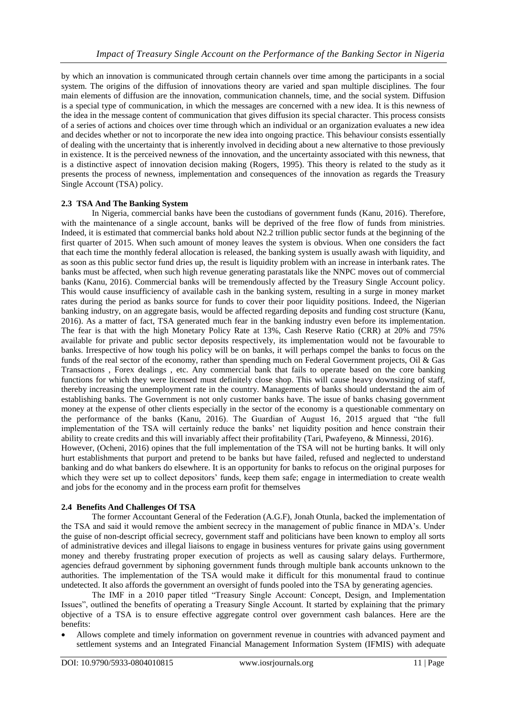by which an innovation is communicated through certain channels over time among the participants in a social system. The origins of the diffusion of innovations theory are varied and span multiple disciplines. The four main elements of diffusion are the innovation, communication channels, time, and the social system. Diffusion is a special type of communication, in which the messages are concerned with a new idea. It is this newness of the idea in the message content of communication that gives diffusion its special character. This process consists of a series of actions and choices over time through which an individual or an organization evaluates a new idea and decides whether or not to incorporate the new idea into ongoing practice. This behaviour consists essentially of dealing with the uncertainty that is inherently involved in deciding about a new alternative to those previously in existence. It is the perceived newness of the innovation, and the uncertainty associated with this newness, that is a distinctive aspect of innovation decision making (Rogers, 1995). This theory is related to the study as it presents the process of newness, implementation and consequences of the innovation as regards the Treasury Single Account (TSA) policy.

# **2.3 TSA And The Banking System**

In Nigeria, commercial banks have been the custodians of government funds (Kanu, 2016). Therefore, with the maintenance of a single account, banks will be deprived of the free flow of funds from ministries. Indeed, it is estimated that commercial banks hold about N2.2 trillion public sector funds at the beginning of the first quarter of 2015. When such amount of money leaves the system is obvious. When one considers the fact that each time the monthly federal allocation is released, the banking system is usually awash with liquidity, and as soon as this public sector fund dries up, the result is liquidity problem with an increase in interbank rates. The banks must be affected, when such high revenue generating parastatals like the NNPC moves out of commercial banks (Kanu, 2016). Commercial banks will be tremendously affected by the Treasury Single Account policy. This would cause insufficiency of available cash in the banking system, resulting in a surge in money market rates during the period as banks source for funds to cover their poor liquidity positions. Indeed, the Nigerian banking industry, on an aggregate basis, would be affected regarding deposits and funding cost structure (Kanu, 2016). As a matter of fact, TSA generated much fear in the banking industry even before its implementation. The fear is that with the high Monetary Policy Rate at 13%, Cash Reserve Ratio (CRR) at 20% and 75% available for private and public sector deposits respectively, its implementation would not be favourable to banks. Irrespective of how tough his policy will be on banks, it will perhaps compel the banks to focus on the funds of the real sector of the economy, rather than spending much on Federal Government projects, Oil & Gas Transactions , Forex dealings , etc. Any commercial bank that fails to operate based on the core banking functions for which they were licensed must definitely close shop. This will cause heavy downsizing of staff, thereby increasing the unemployment rate in the country. Managements of banks should understand the aim of establishing banks. The Government is not only customer banks have. The issue of banks chasing government money at the expense of other clients especially in the sector of the economy is a questionable commentary on the performance of the banks (Kanu, 2016). The Guardian of August 16, 2015 argued that "the full implementation of the TSA will certainly reduce the banks' net liquidity position and hence constrain their ability to create credits and this will invariably affect their profitability (Tari, Pwafeyeno, & Minnessi, 2016). However, (Ocheni, 2016) opines that the full implementation of the TSA will not be hurting banks. It will only hurt establishments that purport and pretend to be banks but have failed, refused and neglected to understand banking and do what bankers do elsewhere. It is an opportunity for banks to refocus on the original purposes for which they were set up to collect depositors' funds, keep them safe; engage in intermediation to create wealth and jobs for the economy and in the process earn profit for themselves

# **2.4 Benefits And Challenges Of TSA**

The former Accountant General of the Federation (A.G.F), Jonah Otunla, backed the implementation of the TSA and said it would remove the ambient secrecy in the management of public finance in MDA's. Under the guise of non-descript official secrecy, government staff and politicians have been known to employ all sorts of administrative devices and illegal liaisons to engage in business ventures for private gains using government money and thereby frustrating proper execution of projects as well as causing salary delays. Furthermore, agencies defraud government by siphoning government funds through multiple bank accounts unknown to the authorities. The implementation of the TSA would make it difficult for this monumental fraud to continue undetected. It also affords the government an oversight of funds pooled into the TSA by generating agencies.

The IMF in a 2010 paper titled "Treasury Single Account: Concept, Design, and Implementation Issues", outlined the benefits of operating a Treasury Single Account. It started by explaining that the primary objective of a TSA is to ensure effective aggregate control over government cash balances. Here are the benefits:

 Allows complete and timely information on government revenue in countries with advanced payment and settlement systems and an Integrated Financial Management Information System (IFMIS) with adequate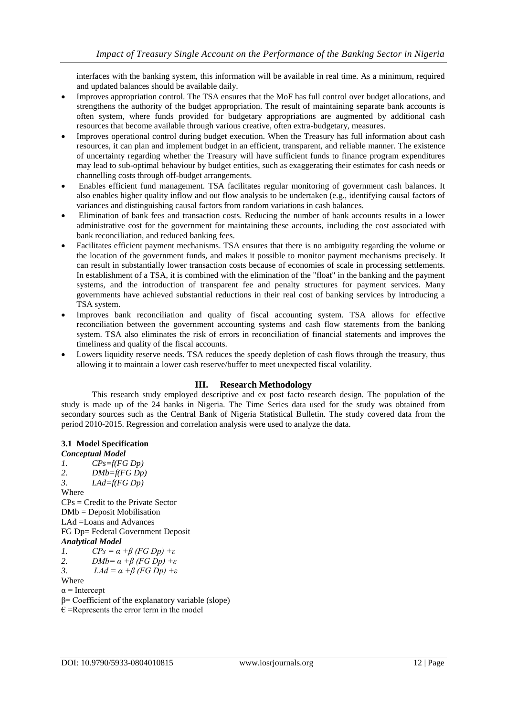interfaces with the banking system, this information will be available in real time. As a minimum, required and updated balances should be available daily.

- Improves appropriation control. The TSA ensures that the MoF has full control over budget allocations, and strengthens the authority of the budget appropriation. The result of maintaining separate bank accounts is often system, where funds provided for budgetary appropriations are augmented by additional cash resources that become available through various creative, often extra-budgetary, measures.
- Improves operational control during budget execution. When the Treasury has full information about cash resources, it can plan and implement budget in an efficient, transparent, and reliable manner. The existence of uncertainty regarding whether the Treasury will have sufficient funds to finance program expenditures may lead to sub-optimal behaviour by budget entities, such as exaggerating their estimates for cash needs or channelling costs through off-budget arrangements.
- Enables efficient fund management. TSA facilitates regular monitoring of government cash balances. It also enables higher quality inflow and out flow analysis to be undertaken (e.g., identifying causal factors of variances and distinguishing causal factors from random variations in cash balances.
- Elimination of bank fees and transaction costs. Reducing the number of bank accounts results in a lower administrative cost for the government for maintaining these accounts, including the cost associated with bank reconciliation, and reduced banking fees.
- Facilitates efficient payment mechanisms. TSA ensures that there is no ambiguity regarding the volume or the location of the government funds, and makes it possible to monitor payment mechanisms precisely. It can result in substantially lower transaction costs because of economies of scale in processing settlements. In establishment of a TSA, it is combined with the elimination of the "float" in the banking and the payment systems, and the introduction of transparent fee and penalty structures for payment services. Many governments have achieved substantial reductions in their real cost of banking services by introducing a TSA system.
- Improves bank reconciliation and quality of fiscal accounting system. TSA allows for effective reconciliation between the government accounting systems and cash flow statements from the banking system. TSA also eliminates the risk of errors in reconciliation of financial statements and improves the timeliness and quality of the fiscal accounts.
- Lowers liquidity reserve needs. TSA reduces the speedy depletion of cash flows through the treasury, thus allowing it to maintain a lower cash reserve/buffer to meet unexpected fiscal volatility.

# **III. Research Methodology**

This research study employed descriptive and ex post facto research design. The population of the study is made up of the 24 banks in Nigeria. The Time Series data used for the study was obtained from secondary sources such as the Central Bank of Nigeria Statistical Bulletin. The study covered data from the period 2010-2015. Regression and correlation analysis were used to analyze the data.

# **3.1 Model Specification**

*Conceptual Model 1. CPs=f(FG Dp) 2. DMb=f(FG Dp) 3. LAd=f(FG Dp)* Where CPs = Credit to the Private Sector DMb = Deposit Mobilisation LAd =Loans and Advances FG Dp= Federal Government Deposit *Analytical Model 1. CPs = α +β (FG Dp) +ε 2. DMb= α +β (FG Dp) +ε 3. LAd = α +β (FG Dp) +ε*

Where

 $\alpha$  = Intercept

- β= Coefficient of the explanatory variable (slope)
- $\epsilon$  =Represents the error term in the model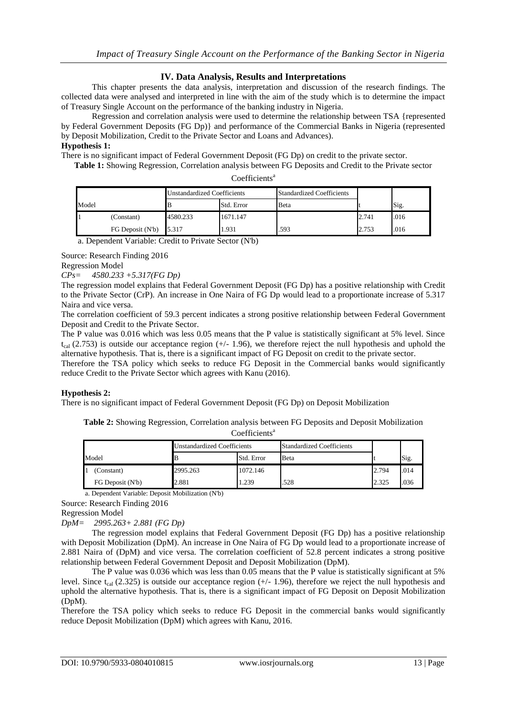# **IV. Data Analysis, Results and Interpretations**

This chapter presents the data analysis, interpretation and discussion of the research findings. The collected data were analysed and interpreted in line with the aim of the study which is to determine the impact of Treasury Single Account on the performance of the banking industry in Nigeria.

Regression and correlation analysis were used to determine the relationship between TSA {represented by Federal Government Deposits (FG Dp)} and performance of the Commercial Banks in Nigeria (represented by Deposit Mobilization, Credit to the Private Sector and Loans and Advances).

# **Hypothesis 1:**

There is no significant impact of Federal Government Deposit (FG Dp) on credit to the private sector.

**Table 1:** Showing Regression, Correlation analysis between FG Deposits and Credit to the Private sector

| Coefficients <sup>a</sup> |
|---------------------------|
|---------------------------|

| Model |                  | <b>Unstandardized Coefficients</b> |            | <b>Standardized Coefficients</b> |       |      |
|-------|------------------|------------------------------------|------------|----------------------------------|-------|------|
|       |                  |                                    | Std. Error | Beta                             |       | Sig. |
|       | (Constant)       | 4580.233                           | 1671.147   |                                  | 2.741 | .016 |
|       | FG Deposit (N'b) | 5.317                              | 1.931      | .593                             | 2.753 | .016 |

a. Dependent Variable: Credit to Private Sector (N'b)

Source: Research Finding 2016

Regression Model *CPs= 4580.233 +5.317(FG Dp)*

The regression model explains that Federal Government Deposit (FG Dp) has a positive relationship with Credit to the Private Sector (CrP). An increase in One Naira of FG Dp would lead to a proportionate increase of 5.317 Naira and vice versa.

The correlation coefficient of 59.3 percent indicates a strong positive relationship between Federal Government Deposit and Credit to the Private Sector.

The P value was 0.016 which was less 0.05 means that the P value is statistically significant at 5% level. Since  $t_{cal}$  (2.753) is outside our acceptance region (+/- 1.96), we therefore reject the null hypothesis and uphold the alternative hypothesis. That is, there is a significant impact of FG Deposit on credit to the private sector.

Therefore the TSA policy which seeks to reduce FG Deposit in the Commercial banks would significantly reduce Credit to the Private Sector which agrees with Kanu (2016).

# **Hypothesis 2:**

There is no significant impact of Federal Government Deposit (FG Dp) on Deposit Mobilization

**Table 2:** Showing Regression, Correlation analysis between FG Deposits and Deposit Mobilization

|  | Coefficients <sup>a</sup> |
|--|---------------------------|
|--|---------------------------|

| Model |                  | Jnstandardized Coefficients |            | <b>Standardized Coefficients</b> |       |      |
|-------|------------------|-----------------------------|------------|----------------------------------|-------|------|
|       |                  |                             | Std. Error | <b>B</b> eta                     |       | Sig. |
|       | (Constant)       | 2995.263                    | 1072.146   |                                  | 2.794 | .014 |
|       | FG Deposit (N'b) | 2.881                       | 1.239      | .528                             | 2.325 | .036 |

a. Dependent Variable: Deposit Mobilization (N'b)

Source: Research Finding 2016

Regression Model

*DpM= 2995.263+ 2.881 (FG Dp)*

The regression model explains that Federal Government Deposit (FG Dp) has a positive relationship with Deposit Mobilization (DpM). An increase in One Naira of FG Dp would lead to a proportionate increase of 2.881 Naira of (DpM) and vice versa. The correlation coefficient of 52.8 percent indicates a strong positive relationship between Federal Government Deposit and Deposit Mobilization (DpM).

The P value was 0.036 which was less than 0.05 means that the P value is statistically significant at 5% level. Since  $t_{cal}$  (2.325) is outside our acceptance region (+/- 1.96), therefore we reject the null hypothesis and uphold the alternative hypothesis. That is, there is a significant impact of FG Deposit on Deposit Mobilization (DpM).

Therefore the TSA policy which seeks to reduce FG Deposit in the commercial banks would significantly reduce Deposit Mobilization (DpM) which agrees with Kanu, 2016.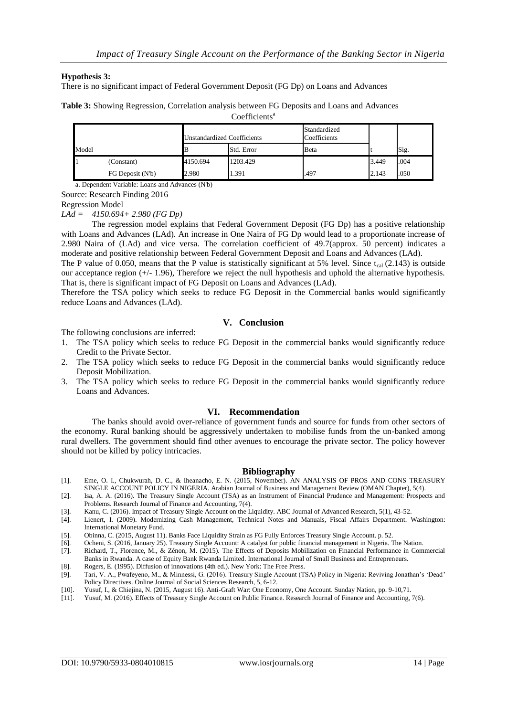#### **Hypothesis 3:**

There is no significant impact of Federal Government Deposit (FG Dp) on Loans and Advances

**Table 3:** Showing Regression, Correlation analysis between FG Deposits and Loans and Advances

Coefficients<sup>a</sup>

| Model |                  | Jnstandardized Coefficients |            | Standardized<br>Coefficients |       |      |
|-------|------------------|-----------------------------|------------|------------------------------|-------|------|
|       |                  |                             | Std. Error | Beta                         |       | Sig. |
|       | (Constant)       | 4150.694                    | 1203.429   |                              | 3.449 | .004 |
|       | FG Deposit (N'b) | 2.980                       | 1.391      | .497                         | 2.143 | .050 |

a. Dependent Variable: Loans and Advances (N'b)

Source: Research Finding 2016

Regression Model

*LAd = 4150.694+ 2.980 (FG Dp)*

The regression model explains that Federal Government Deposit (FG Dp) has a positive relationship with Loans and Advances (LAd). An increase in One Naira of FG Dp would lead to a proportionate increase of 2.980 Naira of (LAd) and vice versa. The correlation coefficient of 49.7(approx. 50 percent) indicates a moderate and positive relationship between Federal Government Deposit and Loans and Advances (LAd).

The P value of 0.050, means that the P value is statistically significant at 5% level. Since  $t_{cal}$  (2.143) is outside our acceptance region (+/- 1.96), Therefore we reject the null hypothesis and uphold the alternative hypothesis. That is, there is significant impact of FG Deposit on Loans and Advances (LAd).

Therefore the TSA policy which seeks to reduce FG Deposit in the Commercial banks would significantly reduce Loans and Advances (LAd).

#### **V. Conclusion**

The following conclusions are inferred:

- 1. The TSA policy which seeks to reduce FG Deposit in the commercial banks would significantly reduce Credit to the Private Sector.
- 2. The TSA policy which seeks to reduce FG Deposit in the commercial banks would significantly reduce Deposit Mobilization.
- 3. The TSA policy which seeks to reduce FG Deposit in the commercial banks would significantly reduce Loans and Advances.

#### **VI. Recommendation**

The banks should avoid over-reliance of government funds and source for funds from other sectors of the economy. Rural banking should be aggressively undertaken to mobilise funds from the un-banked among rural dwellers. The government should find other avenues to encourage the private sector. The policy however should not be killed by policy intricacies.

#### **Bibliography**

- [1]. Eme, O. I., Chukwurah, D. C., & Iheanacho, E. N. (2015, November). AN ANALYSIS OF PROS AND CONS TREASURY SINGLE ACCOUNT POLICY IN NIGERIA. Arabian Journal of Business and Management Review (OMAN Chapter), 5(4).
- [2]. Isa, A. A. (2016). The Treasury Single Account (TSA) as an Instrument of Financial Prudence and Management: Prospects and Problems. Research Journal of Finance and Accounting, 7(4).
- [3]. Kanu, C. (2016). Impact of Treasury Single Account on the Liquidity. ABC Journal of Advanced Research, 5(1), 43-52.
- [4]. Lienert, I. (2009). Modernizing Cash Management, Technical Notes and Manuals, Fiscal Affairs Department. Washington: International Monetary Fund.
- [5]. Obinna, C. (2015, August 11). Banks Face Liquidity Strain as FG Fully Enforces Treasury Single Account. p. 52.
- [6]. Ocheni, S. (2016, January 25). Treasury Single Account: A catalyst for public financial management in Nigeria. The Nation.
- [7]. Richard, T., Florence, M., & Zénon, M. (2015). The Effects of Deposits Mobilization on Financial Performance in Commercial Banks in Rwanda. A case of Equity Bank Rwanda Limited. International Journal of Small Business and Entrepreneurs.
- [8]. Rogers, E. (1995). Diffusion of innovations (4th ed.). New York: The Free Press.
- [9]. Tari, V. A., Pwafeyeno, M., & Minnessi, G. (2016). Treasury Single Account (TSA) Policy in Nigeria: Reviving Jonathan's 'Dead' Policy Directives. Online Journal of Social Sciences Research, 5, 6-12.
- [10]. Yusuf, I., & Chiejina, N. (2015, August 16). Anti-Graft War: One Economy, One Account. Sunday Nation, pp. 9-10,71.
- [11]. Yusuf, M. (2016). Effects of Treasury Single Account on Public Finance. Research Journal of Finance and Accounting, 7(6).